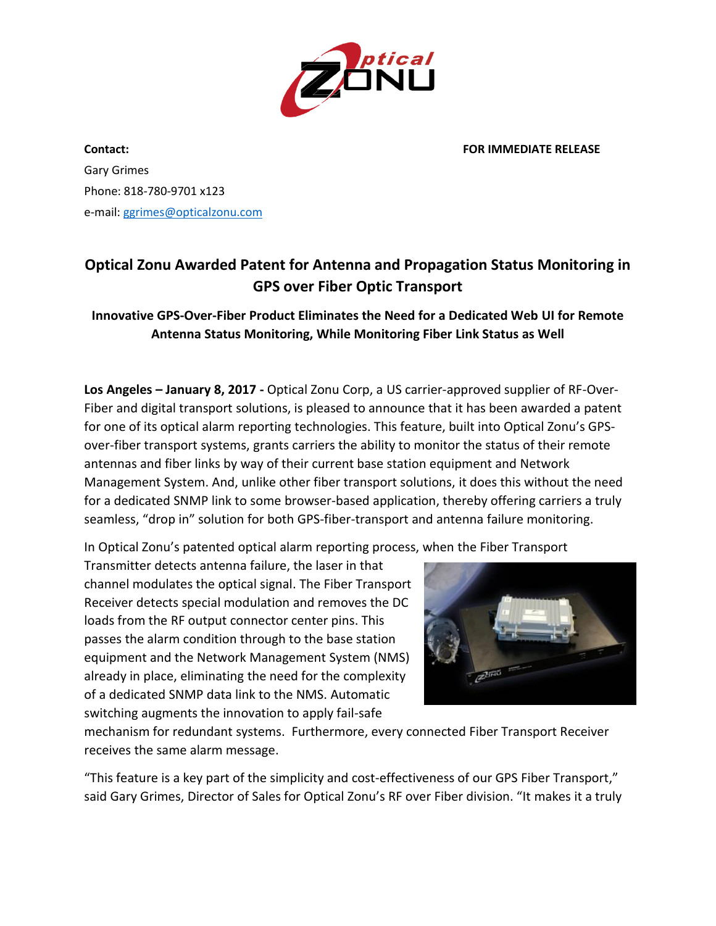

**Contact: FOR IMMEDIATE RELEASE**

Gary Grimes Phone: 818-780-9701 x123 e-mail: [ggrimes@opticalzonu.com](mailto:ggrimes@opticalzonu.com)

## **Optical Zonu Awarded Patent for Antenna and Propagation Status Monitoring in GPS over Fiber Optic Transport**

**Innovative GPS-Over-Fiber Product Eliminates the Need for a Dedicated Web UI for Remote Antenna Status Monitoring, While Monitoring Fiber Link Status as Well**

**Los Angeles – January 8, 2017 -** Optical Zonu Corp, a US carrier-approved supplier of RF-Over-Fiber and digital transport solutions, is pleased to announce that it has been awarded a patent for one of its optical alarm reporting technologies. This feature, built into Optical Zonu's GPSover-fiber transport systems, grants carriers the ability to monitor the status of their remote antennas and fiber links by way of their current base station equipment and Network Management System. And, unlike other fiber transport solutions, it does this without the need for a dedicated SNMP link to some browser-based application, thereby offering carriers a truly seamless, "drop in" solution for both GPS-fiber-transport and antenna failure monitoring.

In Optical Zonu's patented optical alarm reporting process, when the Fiber Transport

Transmitter detects antenna failure, the laser in that channel modulates the optical signal. The Fiber Transport Receiver detects special modulation and removes the DC loads from the RF output connector center pins. This passes the alarm condition through to the base station equipment and the Network Management System (NMS) already in place, eliminating the need for the complexity of a dedicated SNMP data link to the NMS. Automatic switching augments the innovation to apply fail-safe



mechanism for redundant systems. Furthermore, every connected Fiber Transport Receiver receives the same alarm message.

"This feature is a key part of the simplicity and cost-effectiveness of our GPS Fiber Transport," said Gary Grimes, Director of Sales for Optical Zonu's RF over Fiber division. "It makes it a truly